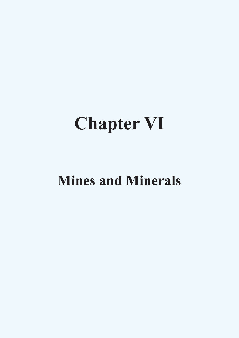# **Chapter VI**

# **Mines and Minerals**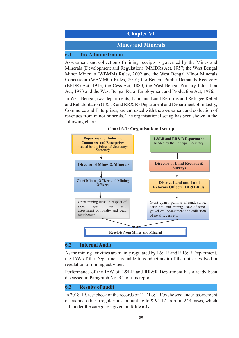# **Chapter VI**

#### **Mines and Minerals**

#### **6.1 Tax Administration**

Assessment and collection of mining receipts is governed by the Mines and Minerals (Development and Regulation) (MMDR) Act, 1957; the West Bengal Minor Minerals (WBMM) Rules, 2002 and the West Bengal Minor Minerals Concession (WBMMC) Rules, 2016; the Bengal Public Demands Recovery (BPDR) Act, 1913; the Cess Act, 1880; the West Bengal Primary Education Act, 1973 and the West Bengal Rural Employment and Production Act, 1976.

In West Bengal, two departments, Land and Land Reforms and Refugee Relief and Rehabilitation (L&LR and RR& R) Department and Department of Industry, Commerce and Enterprises, are entrusted with the assessment and collection of revenues from minor minerals. The organisational set up has been shown in the following chart:





#### **6.2 Internal Audit**

As the mining activities are mainly regulated by L&LR and RR& R Department, the IAW of the Department is liable to conduct audit of the units involved in regulation of mining activities.

Performance of the IAW of L&LR and RR&R Department has already been discussed in Paragraph No. 3.2 of this report.

### **6.3 Results of audit**

In 2018-19, test check of the records of 11 DL&LROs showed under-assessment of tax and other irregularities amounting to  $\bar{\xi}$  95.17 crore in 249 cases, which fall under the categories given in **Table 6.1.**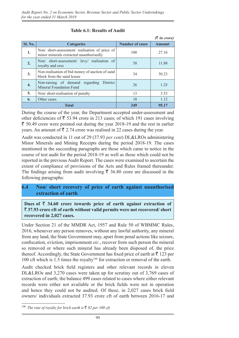|                |                                                                                         |                        | $(3 \nvert n \text{ error})$ |
|----------------|-----------------------------------------------------------------------------------------|------------------------|------------------------------|
| <b>Sl. No.</b> | <b>Categories</b>                                                                       | <b>Number of cases</b> | <b>Amount</b>                |
| 1.             | Non/short-assessment/realisation of price of<br>minor minerals extracted unauthorisedly | 100                    | 27.16                        |
| 2.             | Non/ short-assessment/ levy/ realisation of<br>royalty and cess                         | 58                     | 11.88                        |
| 3.             | Non-realisation of bid money of auction of sand<br>block from the sand lessee           | 34                     | 50.23                        |
| 4.             | Non-raising of demand regarding<br>District<br>Mineral Foundation Fund                  | 26                     | 1.25                         |
| 5.             | Non/short-realisation of penalty                                                        | 13                     | 3.53                         |
| 6.             | Other cases                                                                             | 18                     | 1.12                         |
|                | Total                                                                                   | 249                    | 95.17                        |

#### **Table 6.1: Results of Audit**

During the course of the year, the Department accepted under-assessment and other deficiencies of  $\bar{\xi}$  53.94 crore in 213 cases; of which 191 cases involving  $\bar{\xi}$  50.49 crore were pointed out during the year 2018-19 and the rest in earlier years. An amount of  $\bar{\xi}$  2.74 crore was realised in 22 cases during the year.

Audit was conducted in 11 out of 29 (37.93 *per cent*) DL&LROs administering Minor Minerals and Mining Receipts during the period 2018-19. The cases mentioned in the succeeding paragraphs are those which came to notice in the course of test audit for the period 2018-19 as well as those which could not be reported in the previous Audit Report. The cases were examined to ascertain the extent of compliance of provisions of the Acts and Rules framed thereunder. The findings arising from audit involving  $\bar{\tau}$  36.80 crore are discussed in the following paragraphs:

## **6.4 Non/ short recovery of price of earth against unauthorised extraction of earth**

Dues of  $\bar{\tau}$  34.60 crore towards price of earth against extraction of ` **37.93 crore cft of earth without valid permits were not recovered/ short recovered in 2,027 cases.**

Under Section 21 of the MMDR Act, 1957 and Rule 50 of WBMMC Rules, 2016, whenever any person removes, without any lawful authority, any mineral from any land, the State Government may, apart from penal actions like seizure, confiscation, eviction, imprisonment *etc*., recover from such person the mineral so removed or where such mineral has already been disposed of, the price thereof. Accordingly, the State Government has fixed price of earth at  $\bar{\tau}$  123 per 100 cft which is 1.5 times the royalty140 for extraction or removal of the earth.

Audit checked brick field registers and other relevant records in eleven DL&LROs and 3,270 cases were taken up for scrutiny out of 3,769 cases of extraction of earth; the balance 499 cases related to cases where either relevant records were either not available or the brick fields were not in operation and hence they could not be audited. Of these, in 2,027 cases brick field owners/ individuals extracted 37.93 crore cft of earth between 2016-17 and

<sup>&</sup>lt;sup>140</sup> *The rate of royalty for brick earth is*  $\bar{\xi}$  *82 per 100 cft.*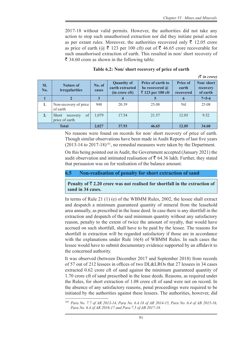2017-18 without valid permits. However, the authorities did not take any action to stop such unauthorised extraction nor did they initiate penal action as per extant rules. Moreover, the authorities recovered only  $\bar{\tau}$  12.05 crore as price of earth ( $\omega \bar{\tau}$  123 per 100 cft) out of  $\bar{\tau}$  46.65 crore recoverable for such unauthorised extraction of earth. This resulted in non/ short recovery of  $\bar{\xi}$  34.60 crore as shown in the following table:

|                  |                                                  |                 |                                                         |                                                                        |                                       | $(3 \nvert n \text{ error})$      |
|------------------|--------------------------------------------------|-----------------|---------------------------------------------------------|------------------------------------------------------------------------|---------------------------------------|-----------------------------------|
| SI.<br>No.       | <b>Nature of</b><br><i>irregularities</i>        | No. of<br>cases | <b>Quantity of</b><br>earth extracted<br>(in crore cft) | <b>Price of earth to</b><br>be recovered $\omega$<br>₹ 123 per 100 cft | <b>Price of</b><br>earth<br>recovered | Non/short<br>recovery<br>of earth |
|                  |                                                  |                 |                                                         | 5                                                                      | $\boldsymbol{\theta}$                 | $7 = 5 - 6$                       |
| 1.               | Non-recovery of price<br>of earth                | 948             | 20.39                                                   | 25.08                                                                  | <b>Nil</b>                            | 25.08                             |
| $\overline{2}$ . | of<br><b>Short</b><br>recovery<br>price of earth | 1,079           | 17.54                                                   | 21.57                                                                  | 12.05                                 | 9.52                              |
| <b>Total</b>     |                                                  | 2,027           | 37.93                                                   | 46.65                                                                  | 12.05                                 | 34.60                             |

#### **Table 6.2: Non/ short recovery of price of earth**

No reasons were found on records for non/ short recovery of price of earth. Though similar observations have been made in Audit Reports of last five years  $(2013-14$  to  $2017-18)$ <sup>141</sup>, no remedial measures were taken by the Department.

On this being pointed out in Audit, the Government accepted (January 2021) the audit observation and intimated realisation of  $\bar{\tau}$  64.36 lakh. Further, they stated that persuasion was on for realisation of the balance amount.

#### **6.5 Non-realisation of penalty for short extraction of sand**

**Penalty of**  $\bar{\tau}$  **2.20 crore was not realised for shortfall in the extraction of sand in 34 cases.**

In terms of Rule 21 (1) (e) of the WBMM Rules, 2002, the lessee shall extract and despatch a minimum guaranteed quantity of mineral from the leasehold area annually, as prescribed in the lease deed. In case there is any shortfall in the extraction and despatch of the said minimum quantity without any satisfactory reason, penalty to the extent of twice the amount of royalty, that would have accrued on such shortfall, shall have to be paid by the lessee. The reasons for shortfall in extraction will be regarded satisfactory if those are in accordance with the explanations under Rule 16(4) of WBMM Rules. In such cases the lessee would have to submit documentary evidence supported by an affidavit to the concerned authority.

It was observed (between December 2017 and September 2018) from records of 57 out of 212 lessees in offices of two DL&LROs that 27 lessees in 34 cases extracted 0.62 crore cft of sand against the minimum guaranteed quantity of 1.70 crore cft of sand prescribed in the lease deeds. Reasons, as required under the Rules, for short extraction of 1.08 crore cft of sand were not on record. In the absence of any satisfactory reasons, penal proceedings were required to be initiated by the authorities against these lessees. The authorities, however, did

<sup>141</sup> *Para No. 7.7 of AR 2013-14, Para No. 6.4.18 of AR 2014-15, Para No. 6.4 of AR 2015-16, Para No. 6.4 of AR 2016-17 and Para 7.5 of AR 2017-18.*